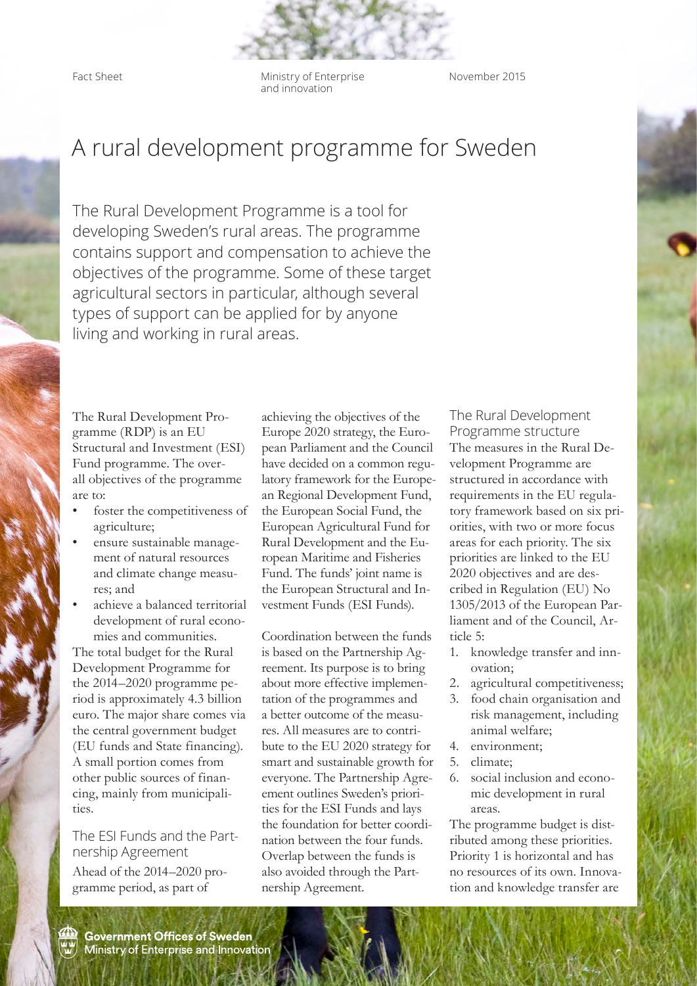Fact Sheet **Ministry of Enterprise** and innovation

November 2015

## A rural development programme for Sweden

The Rural Development Programme is a tool for developing Sweden's rural areas. The programme contains support and compensation to achieve the objectives of the programme. Some of these target agricultural sectors in particular, although several types of support can be applied for by anyone living and working in rural areas.

The Rural Development Programme (RDP) is an EU Structural and Investment (ESI) Fund programme. The overall objectives of the programme are to:

- foster the competitiveness of agriculture;
- ensure sustainable management of natural resources and climate change measures; and
- achieve a balanced territorial development of rural economies and communities.

The total budget for the Rural Development Programme for the 2014–2020 programme period is approximately 4.3 billion euro. The major share comes via the central government budget (EU funds and State financing). A small portion comes from other public sources of financing, mainly from municipalities.

## The ESI Funds and the Partnership Agreement

Ahead of the 2014–2020 programme period, as part of

achieving the objectives of the Europe 2020 strategy, the European Parliament and the Council have decided on a common regulatory framework for the European Regional Development Fund, the European Social Fund, the European Agricultural Fund for Rural Development and the European Maritime and Fisheries Fund. The funds' joint name is the European Structural and Investment Funds (ESI Funds).

Coordination between the funds is based on the Partnership Agreement. Its purpose is to bring about more effective implementation of the programmes and a better outcome of the measures. All measures are to contribute to the EU 2020 strategy for smart and sustainable growth for everyone. The Partnership Agreement outlines Sweden's priorities for the ESI Funds and lays the foundation for better coordination between the four funds. Overlap between the funds is also avoided through the Partnership Agreement.

The Rural Development Programme structure The measures in the Rural Development Programme are structured in accordance with requirements in the EU regulatory framework based on six priorities, with two or more focus areas for each priority. The six priorities are linked to the EU 2020 objectives and are described in Regulation (EU) No 1305/2013 of the European Parliament and of the Council, Article 5:

- 1. knowledge transfer and innovation;
- 2. agricultural competitiveness;
- 3. food chain organisation and risk management, including animal welfare;
- 4. environment;
- 5. climate;
- 6. social inclusion and economic development in rural areas.

The programme budget is distributed among these priorities. Priority 1 is horizontal and has no resources of its own. Innovation and knowledge transfer are